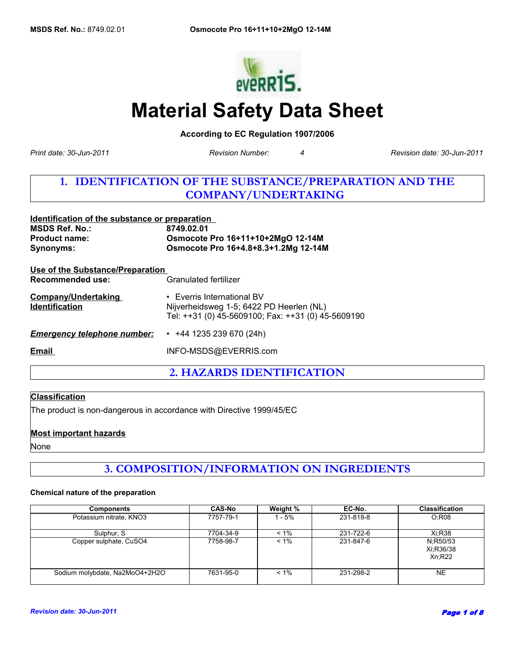

# **Material Safety Data Sheet**

**According to EC Regulation 1907/2006** 

*Revision Number: 4*

*Print date: 30-Jun-2011 Revision date: 30-Jun-2011*

# **1. IDENTIFICATION OF THE SUBSTANCE/PREPARATION AND THE COMPANY/UNDERTAKING**

| Identification of the substance or preparation                     |                                                                                                                                    |  |
|--------------------------------------------------------------------|------------------------------------------------------------------------------------------------------------------------------------|--|
| <b>MSDS Ref. No.:</b>                                              | 8749.02.01                                                                                                                         |  |
| <b>Product name:</b>                                               | Osmocote Pro 16+11+10+2MgO 12-14M                                                                                                  |  |
| <b>Synonyms:</b>                                                   | Osmocote Pro 16+4.8+8.3+1.2Mg 12-14M                                                                                               |  |
| <u>Use of the Substance/Preparation</u><br><b>Recommended use:</b> | Granulated fertilizer                                                                                                              |  |
| <b>Company/Undertaking</b><br><b>Identification</b>                | $\cdot$ Everris International BV<br>Nijverheidsweg 1-5; 6422 PD Heerlen (NL)<br>Tel: ++31 (0) 45-5609100; Fax: ++31 (0) 45-5609190 |  |
| <b>Emergency telephone number:</b>                                 | $\cdot$ +44 1235 239 670 (24h)                                                                                                     |  |
| Email                                                              | INFO-MSDS@EVERRIS.com                                                                                                              |  |
|                                                                    |                                                                                                                                    |  |

**2. HAZARDS IDENTIFICATION**

### **Classification**

The product is non-dangerous in accordance with Directive 1999/45/EC

### **Most important hazards**

None

**3. COMPOSITION/INFORMATION ON INGREDIENTS**

#### **Chemical nature of the preparation**

| <b>Components</b>              | <b>CAS-No</b> | Weight % | EC-No.    | <b>Classification</b>           |
|--------------------------------|---------------|----------|-----------|---------------------------------|
| Potassium nitrate, KNO3        | 7757-79-1     | - 5%     | 231-818-8 | O:R08                           |
| Sulphur, S                     | 7704-34-9     | $< 1\%$  | 231-722-6 | Xi:R38                          |
| Copper sulphate, CuSO4         | 7758-98-7     | $< 1\%$  | 231-847-6 | N:R50/53<br>Xi:R36/38<br>Xn;R22 |
| Sodium molybdate, Na2MoO4+2H2O | 7631-95-0     | $< 1\%$  | 231-298-2 | <b>NE</b>                       |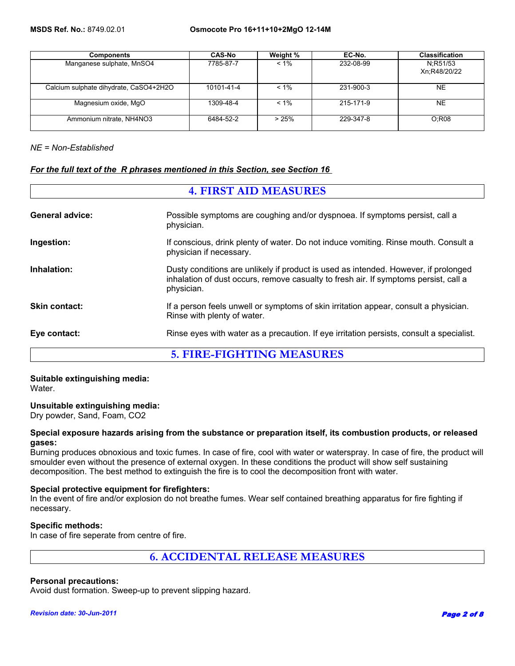| <b>Components</b>                      | <b>CAS-No</b> | Weight % | EC-No.    | <b>Classification</b>    |
|----------------------------------------|---------------|----------|-----------|--------------------------|
| Manganese sulphate, MnSO4              | 7785-87-7     | $< 1\%$  | 232-08-99 | N:R51/53<br>Xn:R48/20/22 |
| Calcium sulphate dihydrate, CaSO4+2H2O | 10101-41-4    | $< 1\%$  | 231-900-3 | NE.                      |
| Magnesium oxide, MgO                   | 1309-48-4     | $< 1\%$  | 215-171-9 | NE.                      |
| Ammonium nitrate, NH4NO3               | 6484-52-2     | >25%     | 229-347-8 | O:RO8                    |

*NE = Non-Established*

### *For the full text of the R phrases mentioned in this Section, see Section 16*

| <b>4. FIRST AID MEASURES</b> |                                                                                                                                                                                           |
|------------------------------|-------------------------------------------------------------------------------------------------------------------------------------------------------------------------------------------|
| <b>General advice:</b>       | Possible symptoms are coughing and/or dyspnoea. If symptoms persist, call a<br>physician.                                                                                                 |
| Ingestion:                   | If conscious, drink plenty of water. Do not induce vomiting. Rinse mouth. Consult a<br>physician if necessary.                                                                            |
| Inhalation:                  | Dusty conditions are unlikely if product is used as intended. However, if prolonged<br>inhalation of dust occurs, remove casualty to fresh air. If symptoms persist, call a<br>physician. |
| <b>Skin contact:</b>         | If a person feels unwell or symptoms of skin irritation appear, consult a physician.<br>Rinse with plenty of water.                                                                       |
| Eye contact:                 | Rinse eyes with water as a precaution. If eye irritation persists, consult a specialist.                                                                                                  |
|                              | <b>5. FIRE-FIGHTING MEASURES</b>                                                                                                                                                          |

**Suitable extinguishing media:** Water.

### **Unsuitable extinguishing media:**

Dry powder, Sand, Foam, CO2

#### **Special exposure hazards arising from the substance or preparation itself, its combustion products, or released gases:**

Burning produces obnoxious and toxic fumes. In case of fire, cool with water or waterspray. In case of fire, the product will smoulder even without the presence of external oxygen. In these conditions the product will show self sustaining decomposition. The best method to extinguish the fire is to cool the decomposition front with water.

### **Special protective equipment for firefighters:**

In the event of fire and/or explosion do not breathe fumes. Wear self contained breathing apparatus for fire fighting if necessary.

#### **Specific methods:**

In case of fire seperate from centre of fire.

**6. ACCIDENTAL RELEASE MEASURES**

### **Personal precautions:**

Avoid dust formation. Sweep-up to prevent slipping hazard.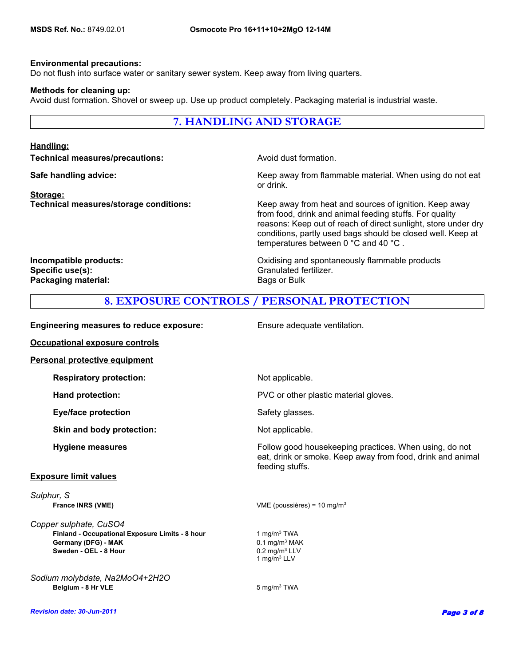#### **Environmental precautions:**

Do not flush into surface water or sanitary sewer system. Keep away from living quarters.

#### **Methods for cleaning up:**

Avoid dust formation. Shovel or sweep up. Use up product completely. Packaging material is industrial waste.

### **7. HANDLING AND STORAGE**

### **Handling:**

**Technical measures/precautions: Avoid dust formation.** 

**Storage:**

**Safe handling advice:** Mateur Mateur Meep away from flammable material. When using do not eat or drink.

**Technical measures/storage conditions:** Keep away from heat and sources of ignition. Keep away from food, drink and animal feeding stuffs. For quality reasons: Keep out of reach of direct sunlight, store under dry conditions, partly used bags should be closed well. Keep at temperatures between 0 °C and 40 °C .

**Specific use(s):** Granulated fertilizer. **Packaging material:** Bags or Bulk

**Incompatible products:** The other and Spontaneously flammable products and spontaneously flammable products

### **8. EXPOSURE CONTROLS / PERSONAL PROTECTION**

| <b>Engineering measures to reduce exposure:</b>                                                                           | Ensure adequate ventilation.                                                                                                            |
|---------------------------------------------------------------------------------------------------------------------------|-----------------------------------------------------------------------------------------------------------------------------------------|
| <b>Occupational exposure controls</b>                                                                                     |                                                                                                                                         |
| <b>Personal protective equipment</b>                                                                                      |                                                                                                                                         |
| <b>Respiratory protection:</b>                                                                                            | Not applicable.                                                                                                                         |
| <b>Hand protection:</b>                                                                                                   | PVC or other plastic material gloves.                                                                                                   |
| <b>Eye/face protection</b>                                                                                                | Safety glasses.                                                                                                                         |
| Skin and body protection:                                                                                                 | Not applicable.                                                                                                                         |
| <b>Hygiene measures</b>                                                                                                   | Follow good housekeeping practices. When using, do not<br>eat, drink or smoke. Keep away from food, drink and animal<br>feeding stuffs. |
| <b>Exposure limit values</b>                                                                                              |                                                                                                                                         |
| Sulphur, S<br><b>France INRS (VME)</b>                                                                                    | VME (poussières) = 10 mg/m <sup>3</sup>                                                                                                 |
| Copper sulphate, CuSO4<br>Finland - Occupational Exposure Limits - 8 hour<br>Germany (DFG) - MAK<br>Sweden - OEL - 8 Hour | 1 mg/m $3$ TWA<br>$0.1$ mg/m <sup>3</sup> MAK<br>$0.2$ mg/m <sup>3</sup> LLV<br>1 mg/m $3$ LLV                                          |
| Sodium molybdate, Na2MoO4+2H2O<br>Belgium - 8 Hr VLE                                                                      | $5 \text{ mg/m}^3$ TWA                                                                                                                  |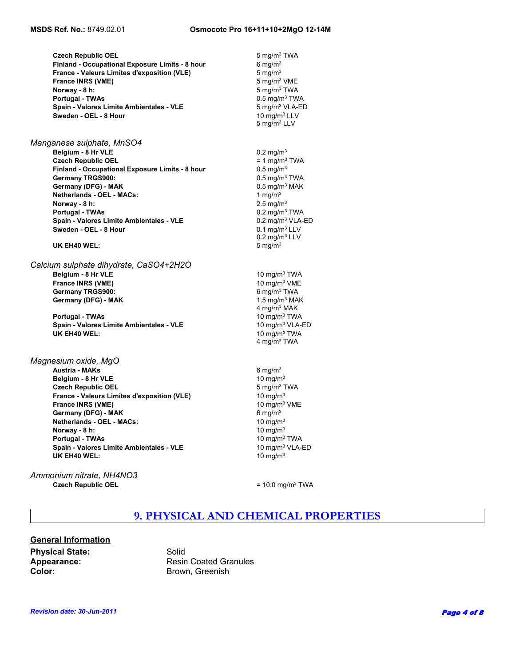|                          | <b>Czech Republic OEL</b>                          | $5 \text{ mg/m}^3$ TWA       |  |
|--------------------------|----------------------------------------------------|------------------------------|--|
|                          | Finland - Occupational Exposure Limits - 8 hour    | 6 mg/ $m3$                   |  |
|                          | <b>France - Valeurs Limites d'exposition (VLE)</b> | 5 mg/m $3$                   |  |
| <b>France INRS (VME)</b> |                                                    | 5 mg/m <sup>3</sup> VME      |  |
| Norway - 8 h:            |                                                    | 5 mg/m <sup>3</sup> TWA      |  |
| Portugal - TWAs          |                                                    | $0.5 \text{ mg/m}^3$ TWA     |  |
|                          | Spain - Valores Limite Ambientales - VLE           | 5 mg/m <sup>3</sup> VLA-ED   |  |
|                          | Sweden - OEL - 8 Hour                              | 10 $ma/m3$ LLV               |  |
|                          |                                                    | 5 mg/m $3$ LLV               |  |
|                          |                                                    |                              |  |
|                          | Manganese sulphate, MnSO4                          |                              |  |
| Belgium - 8 Hr VLE       |                                                    | $0.2 \text{ mg/m}^3$         |  |
|                          | <b>Czech Republic OEL</b>                          | $= 1$ mg/m <sup>3</sup> TWA  |  |
|                          | Finland - Occupational Exposure Limits - 8 hour    | $0.5 \,\mathrm{mg/m^3}$      |  |
| <b>Germany TRGS900:</b>  |                                                    | $0.5$ mg/m <sup>3</sup> TWA  |  |
|                          | Germany (DFG) - MAK                                | $0.5$ mg/m <sup>3</sup> MAK  |  |
|                          | <b>Netherlands - OEL - MACs:</b>                   | 1 mg/m $3$                   |  |
| Norway - 8 h:            |                                                    | $2.5 \text{ mg/m}^3$         |  |
| Portugal - TWAs          |                                                    | $0.2 \text{ mg/m}^3$ TWA     |  |
|                          | Spain - Valores Limite Ambientales - VLE           | 0.2 mg/m <sup>3</sup> VLA-ED |  |
|                          | Sweden - OEL - 8 Hour                              | $0.1$ mg/m <sup>3</sup> LLV  |  |
|                          |                                                    | $0.2 \text{ mg/m}^3$ LLV     |  |
| UK EH40 WEL:             |                                                    | 5 mg/ $m3$                   |  |
|                          | Calcium sulphate dihydrate, CaSO4+2H2O             |                              |  |
|                          |                                                    |                              |  |
| Belgium - 8 Hr VLE       |                                                    | 10 mg/m $3$ TWA              |  |
| <b>France INRS (VME)</b> |                                                    | 10 mg/m $3$ VME              |  |
| Germany TRGS900:         |                                                    | 6 mg/m $3$ TWA               |  |
|                          | Germany (DFG) - MAK                                | 1.5 mg/m $3$ MAK             |  |
|                          |                                                    | 4 mg/m <sup>3</sup> MAK      |  |
| <b>Portugal - TWAs</b>   |                                                    | 10 mg/m $3$ TWA              |  |
|                          | Spain - Valores Limite Ambientales - VLE           | 10 mg/m <sup>3</sup> VLA-ED  |  |
| UK EH40 WEL:             |                                                    | 10 mg/m <sup>3</sup> TWA     |  |
|                          |                                                    | 4 mg/m <sup>3</sup> TWA      |  |
| Magnesium oxide, MgO     |                                                    |                              |  |
| Austria - MAKs           |                                                    | $6 \text{ mg/m}^3$           |  |
| Belgium - 8 Hr VLE       |                                                    | 10 mg/m $3$                  |  |
|                          | <b>Czech Republic OEL</b>                          | 5 mg/m $3$ TWA               |  |
|                          | France - Valeurs Limites d'exposition (VLE)        | 10 mg/ $m3$                  |  |
| <b>France INRS (VME)</b> |                                                    | 10 mg/m <sup>3</sup> VME     |  |
|                          | Germany (DFG) - MAK                                | 6 mg/ $m3$                   |  |
|                          | <b>Netherlands - OEL - MACs:</b>                   | 10 mg/m $3$                  |  |
| Norway - 8 h:            |                                                    | 10 mg/m $3$                  |  |
| <b>Portugal - TWAs</b>   |                                                    | 10 $mq/m3 TWA$               |  |
|                          | Spain - Valores Limite Ambientales - VLE           | 10 mg/m <sup>3</sup> VLA-ED  |  |
| UK EH40 WEL:             |                                                    | 10 mg/m $3$                  |  |
|                          |                                                    |                              |  |

*Ammonium nitrate, NH4NO3* **Czech Republic OEL**  $= 10.0$  mg/m<sup>3</sup> TWA

# **9. PHYSICAL AND CHEMICAL PROPERTIES**

# **General Information Physical State:** Solid Spearance: Solid Repearance: **Color:** Brown, Greenish

**Appearance:** Resin Coated Granules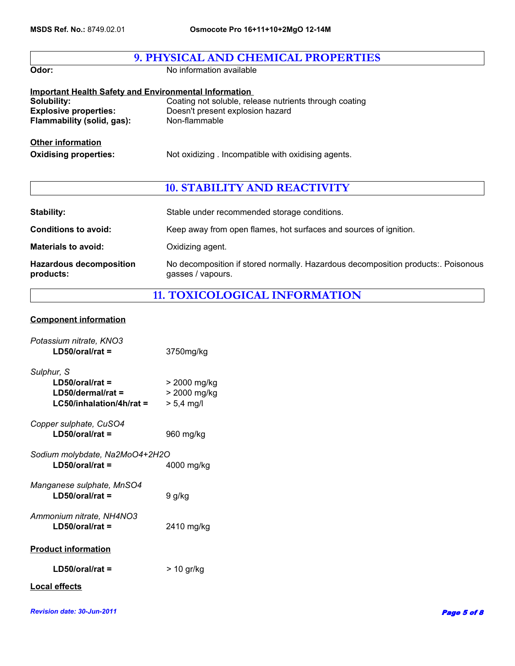| 9. PHYSICAL AND CHEMICAL PROPERTIES                          |                                                        |  |
|--------------------------------------------------------------|--------------------------------------------------------|--|
| Odor:                                                        | No information available                               |  |
| <b>Important Health Safety and Environmental Information</b> |                                                        |  |
| Solubility:                                                  | Coating not soluble, release nutrients through coating |  |
| <b>Explosive properties:</b>                                 | Doesn't present explosion hazard                       |  |
| Flammability (solid, gas):                                   | Non-flammable                                          |  |
| <b>Other information</b><br><b>Oxidising properties:</b>     | Not oxidizing. Incompatible with oxidising agents.     |  |

# **10. STABILITY AND REACTIVITY**

| <b>Stability:</b>                           | Stable under recommended storage conditions.                                                          |
|---------------------------------------------|-------------------------------------------------------------------------------------------------------|
| <b>Conditions to avoid:</b>                 | Keep away from open flames, hot surfaces and sources of ignition.                                     |
| <b>Materials to avoid:</b>                  | Oxidizing agent.                                                                                      |
| <b>Hazardous decomposition</b><br>products: | No decomposition if stored normally. Hazardous decomposition products: Poisonous<br>gasses / vapours. |

# **11. TOXICOLOGICAL INFORMATION**

### **Component information**

| Potassium nitrate, KNO3<br>$LD50/oral/rat =$                                          | 3750mg/kg                                    |
|---------------------------------------------------------------------------------------|----------------------------------------------|
| Sulphur, S<br>$LD50/oral/rat =$<br>$LD50$ /dermal/rat =<br>$LG50/inhalation/4h/rat =$ | > 2000 mg/kg<br>> 2000 mg/kg<br>$> 5,4$ mg/l |
| Copper sulphate, CuSO4<br>$LD50/oral/rat =$                                           | 960 mg/kg                                    |
| Sodium molybdate, Na2MoO4+2H2O<br>$LD50/oral/rat =$                                   | 4000 mg/kg                                   |
| Manganese sulphate, MnSO4<br>$LD50/oral/rat =$                                        | 9 g/kg                                       |
| Ammonium nitrate, NH4NO3<br>$LD50/oral/rat =$                                         | 2410 mg/kg                                   |
| <b>Product information</b>                                                            |                                              |
| $LD50/oral/rat =$                                                                     | > 10 gr/kg                                   |
| <b>Local effects</b>                                                                  |                                              |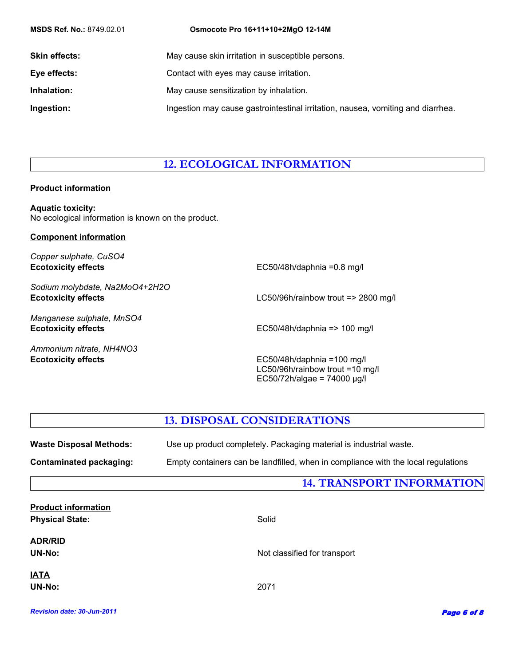| <b>MSDS Ref. No.: 8749.02.01</b> | Osmocote Pro 16+11+10+2MgO 12-14M                                               |
|----------------------------------|---------------------------------------------------------------------------------|
| <b>Skin effects:</b>             | May cause skin irritation in susceptible persons.                               |
| Eye effects:                     | Contact with eyes may cause irritation.                                         |
| Inhalation:                      | May cause sensitization by inhalation.                                          |
| Ingestion:                       | Ingestion may cause gastrointestinal irritation, nausea, vomiting and diarrhea. |

# **12. ECOLOGICAL INFORMATION**

### **Product information**

**Aquatic toxicity:** No ecological information is known on the product.

### **Component information**

*Copper sulphate, CuSO4* **Ecotoxicity effects**

*Sodium molybdate, Na2MoO4+2H2O*

*Manganese sulphate, MnSO4*

*Ammonium nitrate, NH4NO3*

EC50/48h/daphnia =0.8 mg/l

**Ecotoxicity effects** LC50/96h/rainbow trout => 2800 mg/l

**Ecotoxicity effects** EC50/48h/daphnia => 100 mg/l

**Ecotoxicity effects** EC50/48h/daphnia =100 mg/l LC50/96h/rainbow trout =10 mg/l EC50/72h/algae = 74000 µg/l

### **13. DISPOSAL CONSIDERATIONS**

| <b>Waste Disposal Methods:</b> | Use up product completely. Packaging material is industrial waste.<br>Empty containers can be landfilled, when in compliance with the local regulations |  |
|--------------------------------|---------------------------------------------------------------------------------------------------------------------------------------------------------|--|
| <b>Contaminated packaging:</b> |                                                                                                                                                         |  |
|                                | <b>14. TRANSPORT INFORMATION</b>                                                                                                                        |  |
| <b>Product information</b>     |                                                                                                                                                         |  |
| <b>Physical State:</b>         | Solid                                                                                                                                                   |  |
| <b>ADR/RID</b>                 |                                                                                                                                                         |  |
| UN-No:                         | Not classified for transport                                                                                                                            |  |
| <b>IATA</b>                    |                                                                                                                                                         |  |
| <b>UN-No:</b>                  | 2071                                                                                                                                                    |  |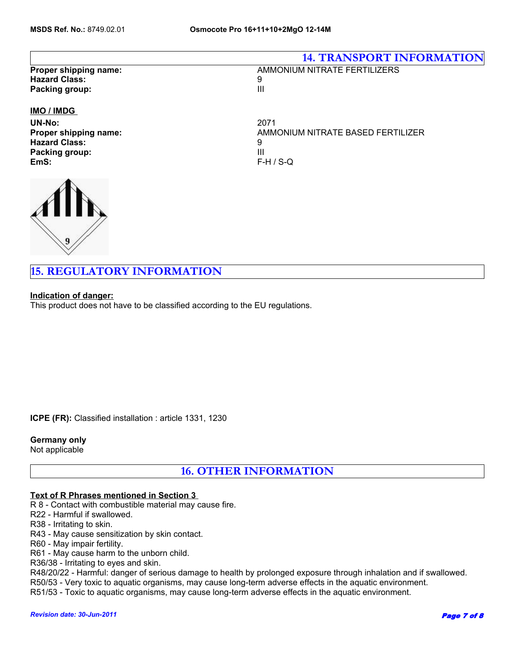|                          | <b>14. TRANSPORT INFORMATION</b>  |  |
|--------------------------|-----------------------------------|--|
| Proper shipping name:    | AMMONIUM NITRATE FERTILIZERS      |  |
| <b>Hazard Class:</b>     | 9                                 |  |
| Packing group:           | Ш                                 |  |
| <b>IMO</b> / <b>IMDG</b> |                                   |  |
| UN-No:                   | 2071                              |  |
| Proper shipping name:    | AMMONIUM NITRATE BASED FERTILIZER |  |
| <b>Hazard Class:</b>     | 9                                 |  |
| Packing group:           | Ш                                 |  |



**15. REGULATORY INFORMATION**

### **Indication of danger:**

This product does not have to be classified according to the EU regulations.

**EmS:** F-H / S-Q

**ICPE (FR):** Classified installation : article 1331, 1230

**Germany only**  Not applicable

**16. OTHER INFORMATION**

### **Text of R Phrases mentioned in Section 3**

R 8 - Contact with combustible material may cause fire.

R22 - Harmful if swallowed.

R38 - Irritating to skin.

R43 - May cause sensitization by skin contact.

R60 - May impair fertility.

R61 - May cause harm to the unborn child.

R36/38 - Irritating to eyes and skin.

R48/20/22 - Harmful: danger of serious damage to health by prolonged exposure through inhalation and if swallowed.

R50/53 - Very toxic to aquatic organisms, may cause long-term adverse effects in the aquatic environment.

R51/53 - Toxic to aquatic organisms, may cause long-term adverse effects in the aquatic environment.